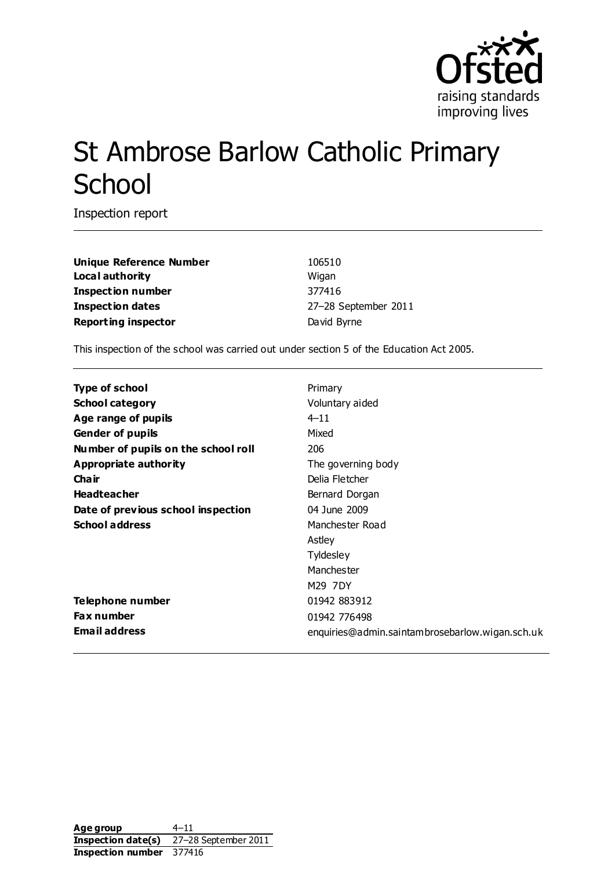

# St Ambrose Barlow Catholic Primary **School**

Inspection report

**Unique Reference Number** 106510 **Local authority** Wigan **Inspection number** 377416 **Inspection dates** 27–28 September 2011 **Reporting inspector David Byrne** 

This inspection of the school was carried out under section 5 of the Education Act 2005.

| <b>Type of school</b>               | Primary                                         |
|-------------------------------------|-------------------------------------------------|
| <b>School category</b>              | Voluntary aided                                 |
| Age range of pupils                 | $4 - 11$                                        |
| <b>Gender of pupils</b>             | Mixed                                           |
| Number of pupils on the school roll | 206                                             |
| Appropriate authority               | The governing body                              |
| Cha ir                              | Delia Fletcher                                  |
| <b>Headteacher</b>                  | Bernard Dorgan                                  |
| Date of previous school inspection  | 04 June 2009                                    |
| <b>School address</b>               | Manchester Road                                 |
|                                     | Astley                                          |
|                                     | Tyldesley                                       |
|                                     | Manchester                                      |
|                                     | M29 7DY                                         |
| Telephone number                    | 01942 883912                                    |
| <b>Fax number</b>                   | 01942 776498                                    |
| Email address                       | enquiries@admin.saintambrosebarlow.wigan.sch.uk |
|                                     |                                                 |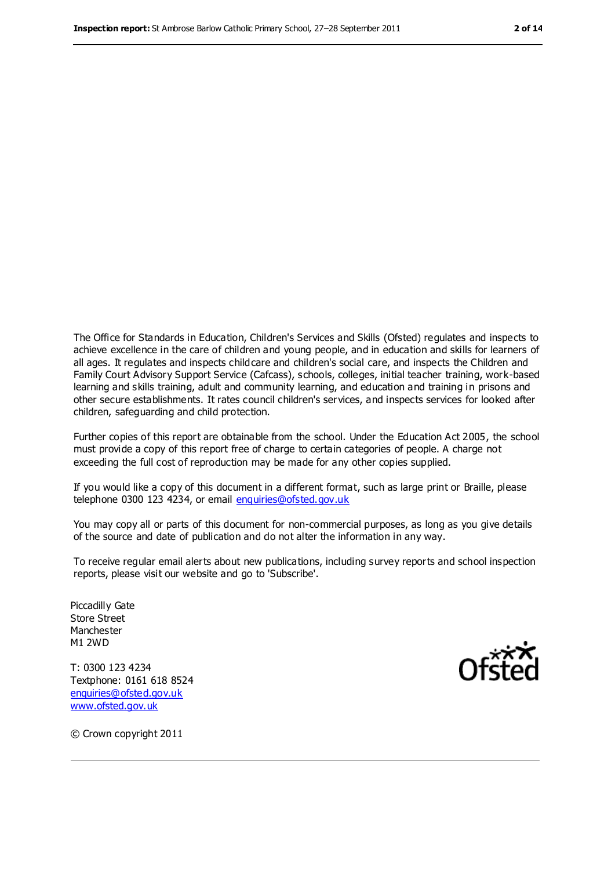The Office for Standards in Education, Children's Services and Skills (Ofsted) regulates and inspects to achieve excellence in the care of children and young people, and in education and skills for learners of all ages. It regulates and inspects childcare and children's social care, and inspects the Children and Family Court Advisory Support Service (Cafcass), schools, colleges, initial teacher training, work-based learning and skills training, adult and community learning, and education and training in prisons and other secure establishments. It rates council children's services, and inspects services for looked after children, safeguarding and child protection.

Further copies of this report are obtainable from the school. Under the Education Act 2005, the school must provide a copy of this report free of charge to certain categories of people. A charge not exceeding the full cost of reproduction may be made for any other copies supplied.

If you would like a copy of this document in a different format, such as large print or Braille, please telephone 0300 123 4234, or email [enquiries@ofsted.gov.uk](mailto:enquiries@ofsted.gov.uk)

You may copy all or parts of this document for non-commercial purposes, as long as you give details of the source and date of publication and do not alter the information in any way.

To receive regular email alerts about new publications, including survey reports and school inspection reports, please visit our website and go to 'Subscribe'.

Piccadilly Gate Store Street Manchester M1 2WD

T: 0300 123 4234 Textphone: 0161 618 8524 [enquiries@ofsted.gov.uk](mailto:enquiries@ofsted.gov.uk) [www.ofsted.gov.uk](http://www.ofsted.gov.uk/)



© Crown copyright 2011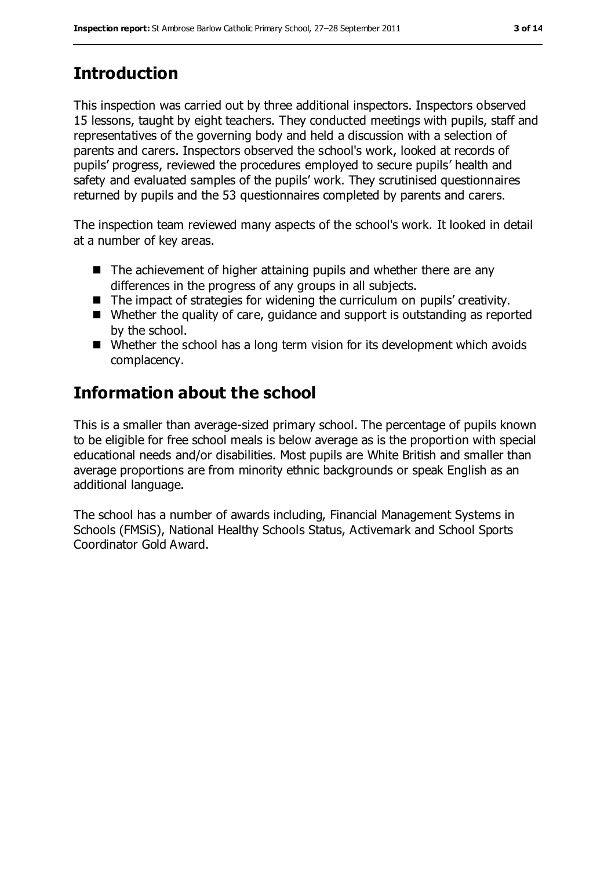# **Introduction**

This inspection was carried out by three additional inspectors. Inspectors observed 15 lessons, taught by eight teachers. They conducted meetings with pupils, staff and representatives of the governing body and held a discussion with a selection of parents and carers. Inspectors observed the school's work, looked at records of pupils' progress, reviewed the procedures employed to secure pupils' health and safety and evaluated samples of the pupils' work. They scrutinised questionnaires returned by pupils and the 53 questionnaires completed by parents and carers.

The inspection team reviewed many aspects of the school's work. It looked in detail at a number of key areas.

- $\blacksquare$  The achievement of higher attaining pupils and whether there are any differences in the progress of any groups in all subjects.
- The impact of strategies for widening the curriculum on pupils' creativity.
- Whether the quality of care, quidance and support is outstanding as reported by the school.
- Whether the school has a long term vision for its development which avoids complacency.

# **Information about the school**

This is a smaller than average-sized primary school. The percentage of pupils known to be eligible for free school meals is below average as is the proportion with special educational needs and/or disabilities. Most pupils are White British and smaller than average proportions are from minority ethnic backgrounds or speak English as an additional language.

The school has a number of awards including, Financial Management Systems in Schools (FMSiS), National Healthy Schools Status, Activemark and School Sports Coordinator Gold Award.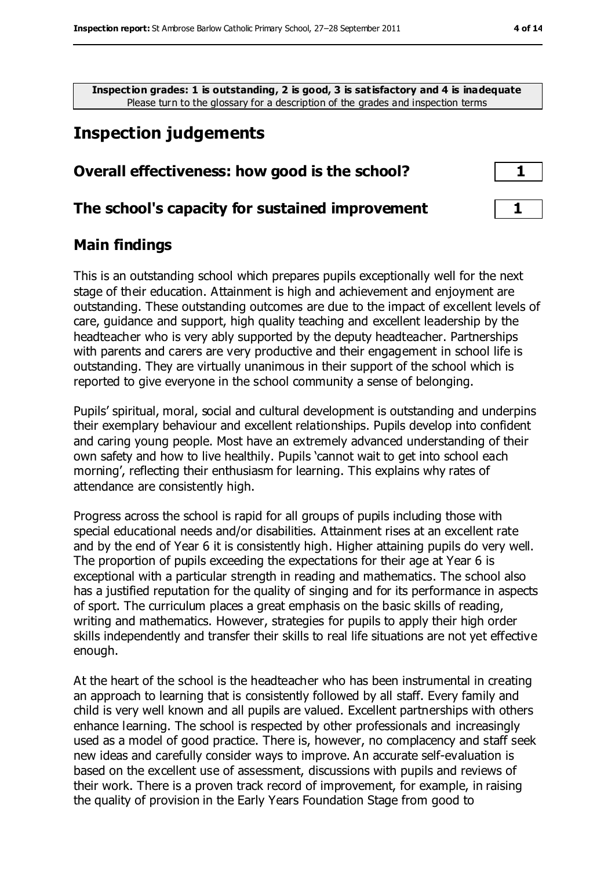**Inspection grades: 1 is outstanding, 2 is good, 3 is satisfactory and 4 is inadequate** Please turn to the glossary for a description of the grades and inspection terms

# **Inspection judgements**

### **Overall effectiveness: how good is the school? 1**

### **The school's capacity for sustained improvement 1**

### **Main findings**

This is an outstanding school which prepares pupils exceptionally well for the next stage of their education. Attainment is high and achievement and enjoyment are outstanding. These outstanding outcomes are due to the impact of excellent levels of care, guidance and support, high quality teaching and excellent leadership by the headteacher who is very ably supported by the deputy headteacher. Partnerships with parents and carers are very productive and their engagement in school life is outstanding. They are virtually unanimous in their support of the school which is reported to give everyone in the school community a sense of belonging.

Pupils' spiritual, moral, social and cultural development is outstanding and underpins their exemplary behaviour and excellent relationships. Pupils develop into confident and caring young people. Most have an extremely advanced understanding of their own safety and how to live healthily. Pupils 'cannot wait to get into school each morning', reflecting their enthusiasm for learning. This explains why rates of attendance are consistently high.

Progress across the school is rapid for all groups of pupils including those with special educational needs and/or disabilities. Attainment rises at an excellent rate and by the end of Year 6 it is consistently high. Higher attaining pupils do very well. The proportion of pupils exceeding the expectations for their age at Year 6 is exceptional with a particular strength in reading and mathematics. The school also has a justified reputation for the quality of singing and for its performance in aspects of sport. The curriculum places a great emphasis on the basic skills of reading, writing and mathematics. However, strategies for pupils to apply their high order skills independently and transfer their skills to real life situations are not yet effective enough.

At the heart of the school is the headteacher who has been instrumental in creating an approach to learning that is consistently followed by all staff. Every family and child is very well known and all pupils are valued. Excellent partnerships with others enhance learning. The school is respected by other professionals and increasingly used as a model of good practice. There is, however, no complacency and staff seek new ideas and carefully consider ways to improve. An accurate self-evaluation is based on the excellent use of assessment, discussions with pupils and reviews of their work. There is a proven track record of improvement, for example, in raising the quality of provision in the Early Years Foundation Stage from good to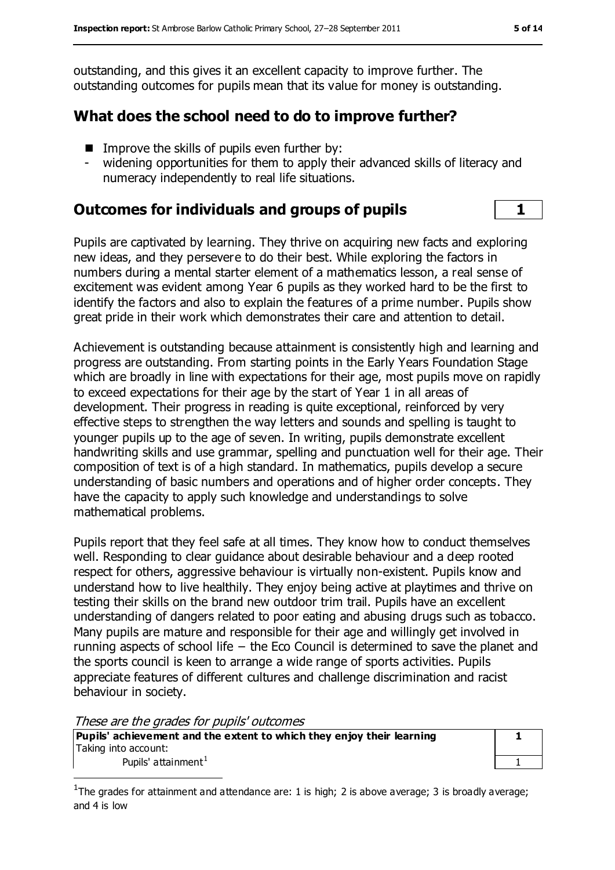outstanding, and this gives it an excellent capacity to improve further. The outstanding outcomes for pupils mean that its value for money is outstanding.

# **What does the school need to do to improve further?**

- $\blacksquare$  Improve the skills of pupils even further by:
- widening opportunities for them to apply their advanced skills of literacy and numeracy independently to real life situations.

# **Outcomes for individuals and groups of pupils 1**

Pupils are captivated by learning. They thrive on acquiring new facts and exploring new ideas, and they persevere to do their best. While exploring the factors in numbers during a mental starter element of a mathematics lesson, a real sense of excitement was evident among Year 6 pupils as they worked hard to be the first to identify the factors and also to explain the features of a prime number. Pupils show great pride in their work which demonstrates their care and attention to detail.

Achievement is outstanding because attainment is consistently high and learning and progress are outstanding. From starting points in the Early Years Foundation Stage which are broadly in line with expectations for their age, most pupils move on rapidly to exceed expectations for their age by the start of Year 1 in all areas of development. Their progress in reading is quite exceptional, reinforced by very effective steps to strengthen the way letters and sounds and spelling is taught to younger pupils up to the age of seven. In writing, pupils demonstrate excellent handwriting skills and use grammar, spelling and punctuation well for their age. Their composition of text is of a high standard. In mathematics, pupils develop a secure understanding of basic numbers and operations and of higher order concepts. They have the capacity to apply such knowledge and understandings to solve mathematical problems.

Pupils report that they feel safe at all times. They know how to conduct themselves well. Responding to clear guidance about desirable behaviour and a deep rooted respect for others, aggressive behaviour is virtually non-existent. Pupils know and understand how to live healthily. They enjoy being active at playtimes and thrive on testing their skills on the brand new outdoor trim trail. Pupils have an excellent understanding of dangers related to poor eating and abusing drugs such as tobacco. Many pupils are mature and responsible for their age and willingly get involved in running aspects of school life − the Eco Council is determined to save the planet and the sports council is keen to arrange a wide range of sports activities. Pupils appreciate features of different cultures and challenge discrimination and racist behaviour in society.

These are the grades for pupils' outcomes

 $\overline{a}$ 

**Pupils' achievement and the extent to which they enjoy their learning** Taking into account: Pupils' attainment $<sup>1</sup>$ </sup>

| 1 |
|---|
| ı |

<sup>&</sup>lt;sup>1</sup>The grades for attainment and attendance are: 1 is high; 2 is above average; 3 is broadly average; and 4 is low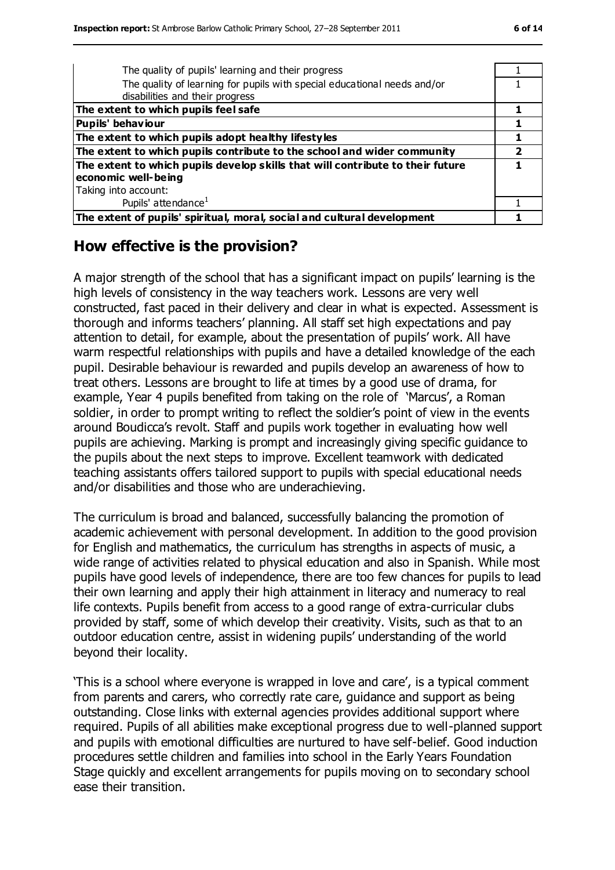| The quality of pupils' learning and their progress                             |  |
|--------------------------------------------------------------------------------|--|
| The quality of learning for pupils with special educational needs and/or       |  |
| disabilities and their progress                                                |  |
| The extent to which pupils feel safe                                           |  |
| <b>Pupils' behaviour</b>                                                       |  |
| The extent to which pupils adopt healthy lifestyles                            |  |
| The extent to which pupils contribute to the school and wider community        |  |
| The extent to which pupils develop skills that will contribute to their future |  |
| economic well-being                                                            |  |
| Taking into account:                                                           |  |
| Pupils' attendance <sup>1</sup>                                                |  |
| The extent of pupils' spiritual, moral, social and cultural development        |  |

### **How effective is the provision?**

A major strength of the school that has a significant impact on pupils' learning is the high levels of consistency in the way teachers work. Lessons are very well constructed, fast paced in their delivery and clear in what is expected. Assessment is thorough and informs teachers' planning. All staff set high expectations and pay attention to detail, for example, about the presentation of pupils' work. All have warm respectful relationships with pupils and have a detailed knowledge of the each pupil. Desirable behaviour is rewarded and pupils develop an awareness of how to treat others. Lessons are brought to life at times by a good use of drama, for example, Year 4 pupils benefited from taking on the role of 'Marcus', a Roman soldier, in order to prompt writing to reflect the soldier's point of view in the events around Boudicca's revolt. Staff and pupils work together in evaluating how well pupils are achieving. Marking is prompt and increasingly giving specific guidance to the pupils about the next steps to improve. Excellent teamwork with dedicated teaching assistants offers tailored support to pupils with special educational needs and/or disabilities and those who are underachieving.

The curriculum is broad and balanced, successfully balancing the promotion of academic achievement with personal development. In addition to the good provision for English and mathematics, the curriculum has strengths in aspects of music, a wide range of activities related to physical education and also in Spanish. While most pupils have good levels of independence, there are too few chances for pupils to lead their own learning and apply their high attainment in literacy and numeracy to real life contexts. Pupils benefit from access to a good range of extra-curricular clubs provided by staff, some of which develop their creativity. Visits, such as that to an outdoor education centre, assist in widening pupils' understanding of the world beyond their locality.

'This is a school where everyone is wrapped in love and care', is a typical comment from parents and carers, who correctly rate care, guidance and support as being outstanding. Close links with external agencies provides additional support where required. Pupils of all abilities make exceptional progress due to well-planned support and pupils with emotional difficulties are nurtured to have self-belief. Good induction procedures settle children and families into school in the Early Years Foundation Stage quickly and excellent arrangements for pupils moving on to secondary school ease their transition.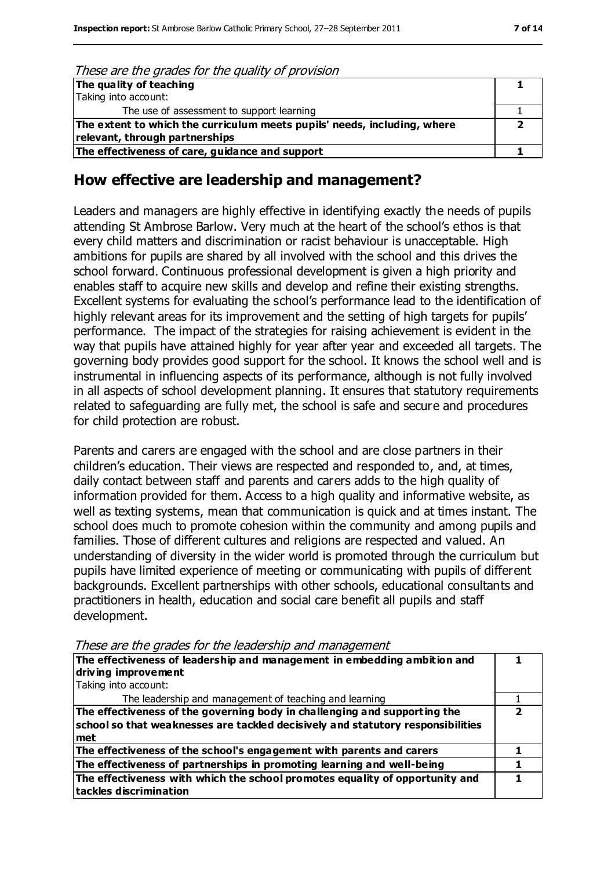#### These are the grades for the quality of provision

| The quality of teaching                                                  |  |
|--------------------------------------------------------------------------|--|
| Taking into account:                                                     |  |
| The use of assessment to support learning                                |  |
| The extent to which the curriculum meets pupils' needs, including, where |  |
| relevant, through partnerships                                           |  |
| The effectiveness of care, guidance and support                          |  |

### **How effective are leadership and management?**

Leaders and managers are highly effective in identifying exactly the needs of pupils attending St Ambrose Barlow. Very much at the heart of the school's ethos is that every child matters and discrimination or racist behaviour is unacceptable. High ambitions for pupils are shared by all involved with the school and this drives the school forward. Continuous professional development is given a high priority and enables staff to acquire new skills and develop and refine their existing strengths. Excellent systems for evaluating the school's performance lead to the identification of highly relevant areas for its improvement and the setting of high targets for pupils' performance. The impact of the strategies for raising achievement is evident in the way that pupils have attained highly for year after year and exceeded all targets. The governing body provides good support for the school. It knows the school well and is instrumental in influencing aspects of its performance, although is not fully involved in all aspects of school development planning. It ensures that statutory requirements related to safeguarding are fully met, the school is safe and secure and procedures for child protection are robust.

Parents and carers are engaged with the school and are close partners in their children's education. Their views are respected and responded to, and, at times, daily contact between staff and parents and carers adds to the high quality of information provided for them. Access to a high quality and informative website, as well as texting systems, mean that communication is quick and at times instant. The school does much to promote cohesion within the community and among pupils and families. Those of different cultures and religions are respected and valued. An understanding of diversity in the wider world is promoted through the curriculum but pupils have limited experience of meeting or communicating with pupils of different backgrounds. Excellent partnerships with other schools, educational consultants and practitioners in health, education and social care benefit all pupils and staff development.

| The effectiveness of leadership and management in embedding ambition and<br>driving improvement                                                                     |  |
|---------------------------------------------------------------------------------------------------------------------------------------------------------------------|--|
| Taking into account:                                                                                                                                                |  |
| The leadership and management of teaching and learning                                                                                                              |  |
| The effectiveness of the governing body in challenging and supporting the<br>school so that weaknesses are tackled decisively and statutory responsibilities<br>met |  |
| The effectiveness of the school's engagement with parents and carers                                                                                                |  |
| The effectiveness of partnerships in promoting learning and well-being                                                                                              |  |
| The effectiveness with which the school promotes equality of opportunity and<br>tackles discrimination                                                              |  |

These are the grades for the leadership and management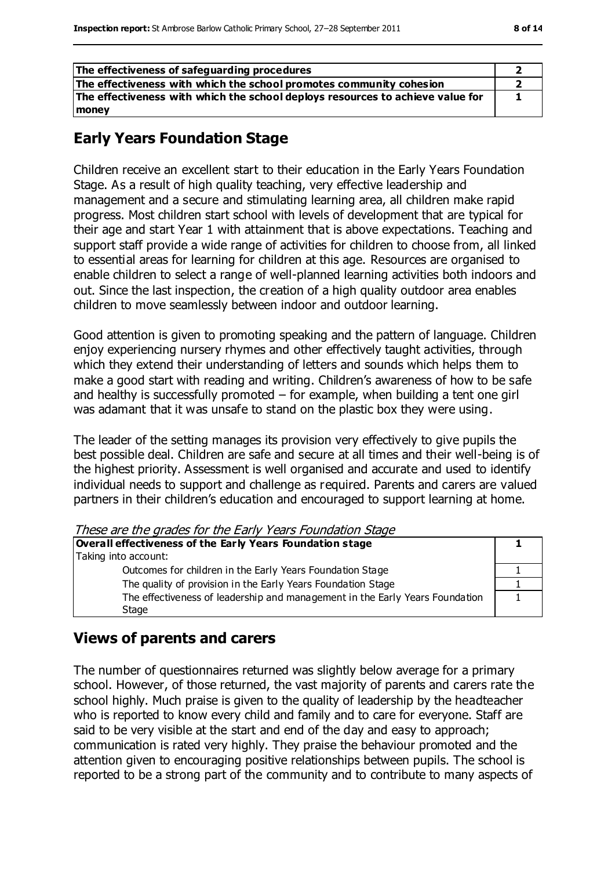| The effectiveness of safeguarding procedures                                   |  |
|--------------------------------------------------------------------------------|--|
| The effectiveness with which the school promotes community cohesion            |  |
| The effectiveness with which the school deploys resources to achieve value for |  |
| money                                                                          |  |

# **Early Years Foundation Stage**

Children receive an excellent start to their education in the Early Years Foundation Stage. As a result of high quality teaching, very effective leadership and management and a secure and stimulating learning area, all children make rapid progress. Most children start school with levels of development that are typical for their age and start Year 1 with attainment that is above expectations. Teaching and support staff provide a wide range of activities for children to choose from, all linked to essential areas for learning for children at this age. Resources are organised to enable children to select a range of well-planned learning activities both indoors and out. Since the last inspection, the creation of a high quality outdoor area enables children to move seamlessly between indoor and outdoor learning.

Good attention is given to promoting speaking and the pattern of language. Children enjoy experiencing nursery rhymes and other effectively taught activities, through which they extend their understanding of letters and sounds which helps them to make a good start with reading and writing. Children's awareness of how to be safe and healthy is successfully promoted  $-$  for example, when building a tent one girl was adamant that it was unsafe to stand on the plastic box they were using.

The leader of the setting manages its provision very effectively to give pupils the best possible deal. Children are safe and secure at all times and their well-being is of the highest priority. Assessment is well organised and accurate and used to identify individual needs to support and challenge as required. Parents and carers are valued partners in their children's education and encouraged to support learning at home.

These are the grades for the Early Years Foundation Stage

| Overall effectiveness of the Early Years Foundation stage                    |  |
|------------------------------------------------------------------------------|--|
| Taking into account:                                                         |  |
| Outcomes for children in the Early Years Foundation Stage                    |  |
| The quality of provision in the Early Years Foundation Stage                 |  |
| The effectiveness of leadership and management in the Early Years Foundation |  |
| Stage                                                                        |  |

### **Views of parents and carers**

The number of questionnaires returned was slightly below average for a primary school. However, of those returned, the vast majority of parents and carers rate the school highly. Much praise is given to the quality of leadership by the headteacher who is reported to know every child and family and to care for everyone. Staff are said to be very visible at the start and end of the day and easy to approach; communication is rated very highly. They praise the behaviour promoted and the attention given to encouraging positive relationships between pupils. The school is reported to be a strong part of the community and to contribute to many aspects of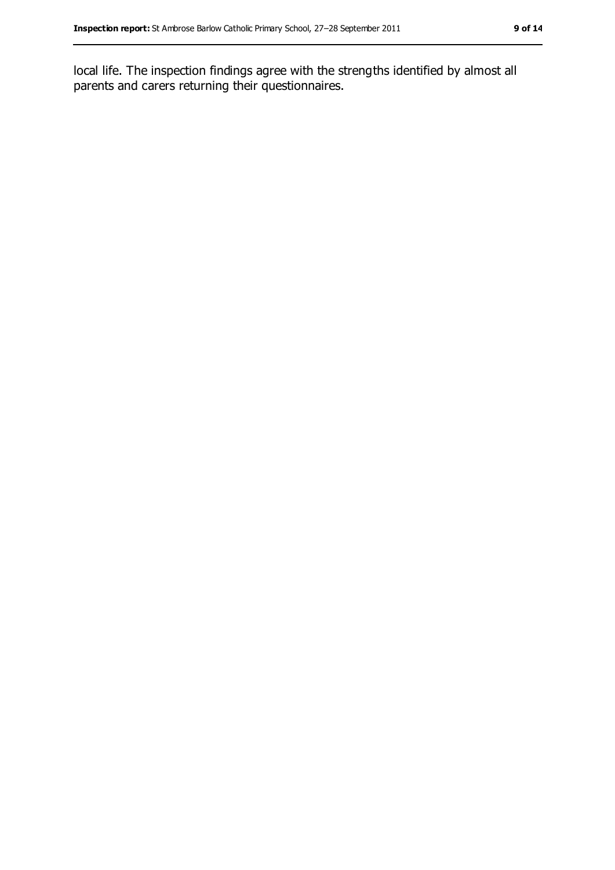local life. The inspection findings agree with the strengths identified by almost all parents and carers returning their questionnaires.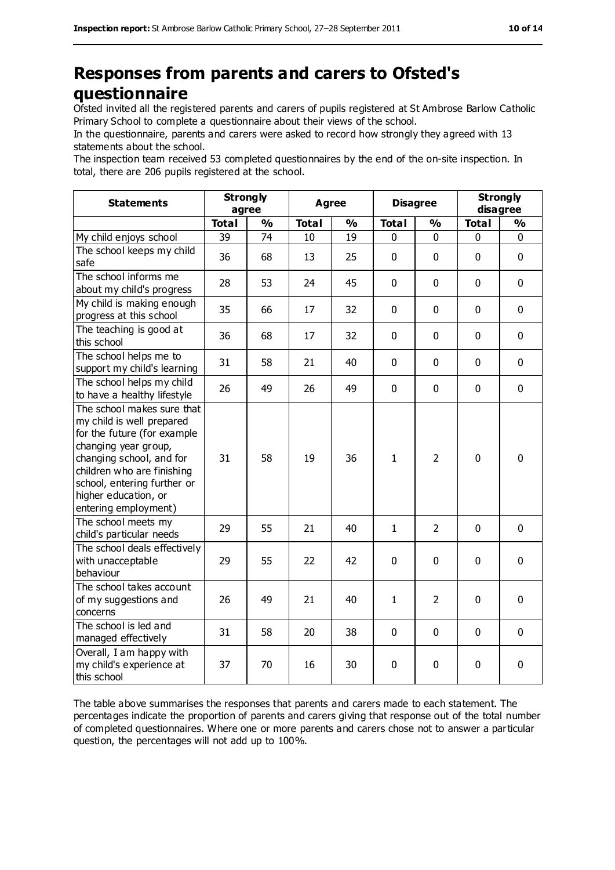# **Responses from parents and carers to Ofsted's questionnaire**

Ofsted invited all the registered parents and carers of pupils registered at St Ambrose Barlow Catholic Primary School to complete a questionnaire about their views of the school.

In the questionnaire, parents and carers were asked to record how strongly they agreed with 13 statements about the school.

The inspection team received 53 completed questionnaires by the end of the on-site inspection. In total, there are 206 pupils registered at the school.

| <b>Statements</b>                                                                                                                                                                                                                                       | <b>Strongly</b><br>agree |               |              | <b>Agree</b>  |              | <b>Disagree</b> |              | <b>Strongly</b><br>disagree |
|---------------------------------------------------------------------------------------------------------------------------------------------------------------------------------------------------------------------------------------------------------|--------------------------|---------------|--------------|---------------|--------------|-----------------|--------------|-----------------------------|
|                                                                                                                                                                                                                                                         | <b>Total</b>             | $\frac{1}{2}$ | <b>Total</b> | $\frac{0}{0}$ | <b>Total</b> | $\frac{1}{2}$   | <b>Total</b> | $\frac{0}{0}$               |
| My child enjoys school                                                                                                                                                                                                                                  | 39                       | 74            | 10           | 19            | 0            | $\mathbf 0$     | 0            | 0                           |
| The school keeps my child<br>safe                                                                                                                                                                                                                       | 36                       | 68            | 13           | 25            | 0            | $\mathbf 0$     | $\mathbf 0$  | $\mathbf 0$                 |
| The school informs me<br>about my child's progress                                                                                                                                                                                                      | 28                       | 53            | 24           | 45            | 0            | $\mathbf{0}$    | $\mathbf 0$  | $\mathbf 0$                 |
| My child is making enough<br>progress at this school                                                                                                                                                                                                    | 35                       | 66            | 17           | 32            | 0            | $\mathbf 0$     | $\mathbf 0$  | $\mathbf 0$                 |
| The teaching is good at<br>this school                                                                                                                                                                                                                  | 36                       | 68            | 17           | 32            | 0            | $\mathbf 0$     | $\mathbf 0$  | $\mathbf 0$                 |
| The school helps me to<br>support my child's learning                                                                                                                                                                                                   | 31                       | 58            | 21           | 40            | 0            | $\mathbf 0$     | $\mathbf 0$  | $\mathbf 0$                 |
| The school helps my child<br>to have a healthy lifestyle                                                                                                                                                                                                | 26                       | 49            | 26           | 49            | 0            | $\mathbf 0$     | $\mathbf 0$  | $\mathbf 0$                 |
| The school makes sure that<br>my child is well prepared<br>for the future (for example<br>changing year group,<br>changing school, and for<br>children who are finishing<br>school, entering further or<br>higher education, or<br>entering employment) | 31                       | 58            | 19           | 36            | $\mathbf{1}$ | $\overline{2}$  | $\mathbf 0$  | $\mathbf 0$                 |
| The school meets my<br>child's particular needs                                                                                                                                                                                                         | 29                       | 55            | 21           | 40            | $\mathbf{1}$ | $\overline{2}$  | $\mathbf 0$  | $\mathbf 0$                 |
| The school deals effectively<br>with unacceptable<br>behaviour                                                                                                                                                                                          | 29                       | 55            | 22           | 42            | 0            | $\mathbf 0$     | $\mathbf 0$  | $\mathbf 0$                 |
| The school takes account<br>of my suggestions and<br>concerns                                                                                                                                                                                           | 26                       | 49            | 21           | 40            | $\mathbf{1}$ | $\overline{2}$  | $\mathbf 0$  | 0                           |
| The school is led and<br>managed effectively                                                                                                                                                                                                            | 31                       | 58            | 20           | 38            | 0            | $\mathbf 0$     | $\mathbf 0$  | $\mathbf 0$                 |
| Overall, I am happy with<br>my child's experience at<br>this school                                                                                                                                                                                     | 37                       | 70            | 16           | 30            | 0            | $\mathbf 0$     | 0            | 0                           |

The table above summarises the responses that parents and carers made to each statement. The percentages indicate the proportion of parents and carers giving that response out of the total number of completed questionnaires. Where one or more parents and carers chose not to answer a particular question, the percentages will not add up to 100%.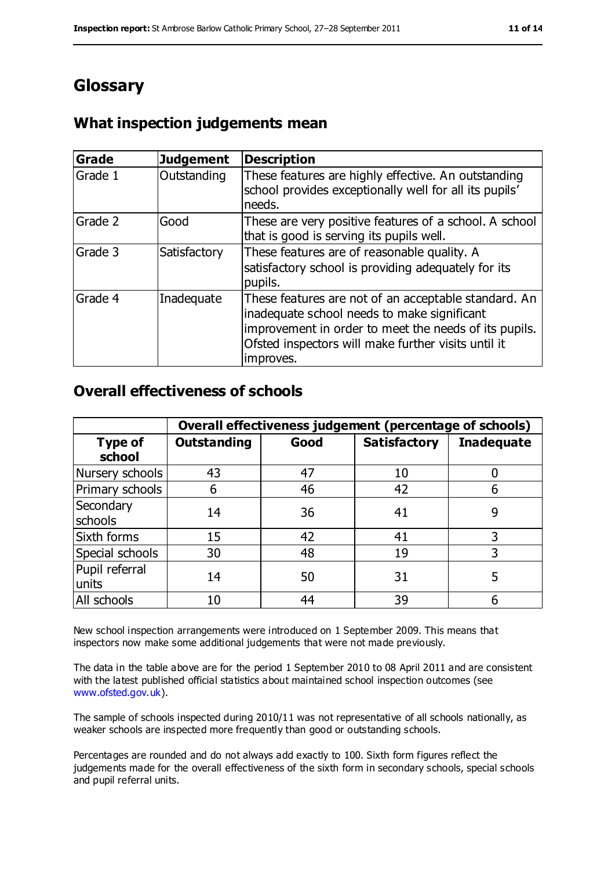# **Glossary**

# **What inspection judgements mean**

| Grade   | <b>Judgement</b> | <b>Description</b>                                                                                                                                                                                                               |
|---------|------------------|----------------------------------------------------------------------------------------------------------------------------------------------------------------------------------------------------------------------------------|
| Grade 1 | Outstanding      | These features are highly effective. An outstanding<br>school provides exceptionally well for all its pupils'<br>needs.                                                                                                          |
| Grade 2 | Good             | These are very positive features of a school. A school<br>that is good is serving its pupils well.                                                                                                                               |
| Grade 3 | Satisfactory     | These features are of reasonable quality. A<br>satisfactory school is providing adequately for its<br>pupils.                                                                                                                    |
| Grade 4 | Inadequate       | These features are not of an acceptable standard. An<br>inadequate school needs to make significant<br>improvement in order to meet the needs of its pupils.<br>Ofsted inspectors will make further visits until it<br>improves. |

# **Overall effectiveness of schools**

|                          | Overall effectiveness judgement (percentage of schools) |      |                     |                   |
|--------------------------|---------------------------------------------------------|------|---------------------|-------------------|
| <b>Type of</b><br>school | <b>Outstanding</b>                                      | Good | <b>Satisfactory</b> | <b>Inadequate</b> |
| Nursery schools          | 43                                                      | 47   | 10                  |                   |
| Primary schools          | 6                                                       | 46   | 42                  |                   |
| Secondary<br>schools     | 14                                                      | 36   | 41                  | 9                 |
| Sixth forms              | 15                                                      | 42   | 41                  | 3                 |
| Special schools          | 30                                                      | 48   | 19                  |                   |
| Pupil referral<br>units  | 14                                                      | 50   | 31                  | 5                 |
| All schools              | 10                                                      | 44   | 39                  |                   |

New school inspection arrangements were introduced on 1 September 2009. This means that inspectors now make some additional judgements that were not made previously.

The data in the table above are for the period 1 September 2010 to 08 April 2011 and are consistent with the latest published official statistics about maintained school inspection outcomes (see [www.ofsted.gov.uk\)](http://www.ofsted.gov.uk/).

The sample of schools inspected during 2010/11 was not representative of all schools nationally, as weaker schools are inspected more frequently than good or outstanding schools.

Percentages are rounded and do not always add exactly to 100. Sixth form figures reflect the judgements made for the overall effectiveness of the sixth form in secondary schools, special schools and pupil referral units.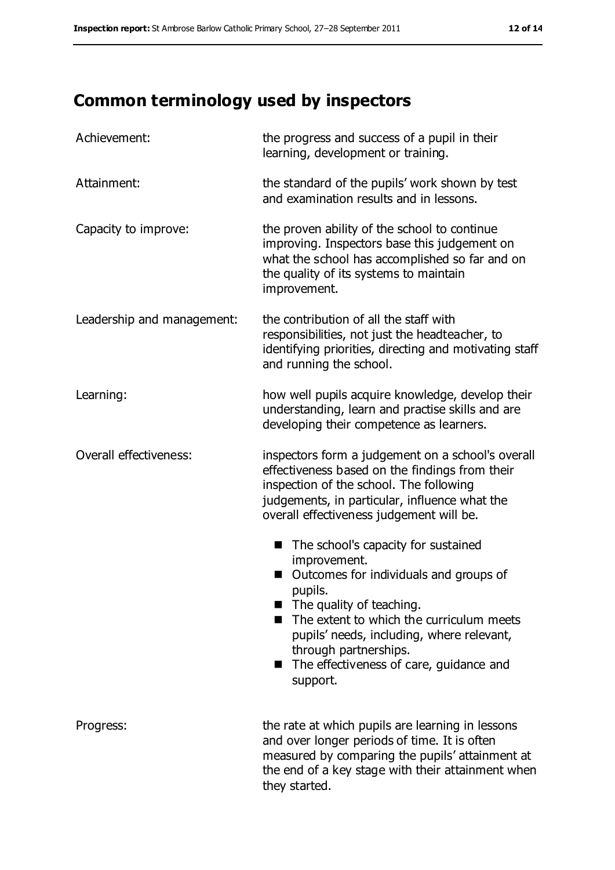# **Common terminology used by inspectors**

| Achievement:               | the progress and success of a pupil in their<br>learning, development or training.                                                                                                                                                                                                                                                     |  |  |
|----------------------------|----------------------------------------------------------------------------------------------------------------------------------------------------------------------------------------------------------------------------------------------------------------------------------------------------------------------------------------|--|--|
| Attainment:                | the standard of the pupils' work shown by test<br>and examination results and in lessons.                                                                                                                                                                                                                                              |  |  |
| Capacity to improve:       | the proven ability of the school to continue<br>improving. Inspectors base this judgement on<br>what the school has accomplished so far and on<br>the quality of its systems to maintain<br>improvement.                                                                                                                               |  |  |
| Leadership and management: | the contribution of all the staff with<br>responsibilities, not just the headteacher, to<br>identifying priorities, directing and motivating staff<br>and running the school.                                                                                                                                                          |  |  |
| Learning:                  | how well pupils acquire knowledge, develop their<br>understanding, learn and practise skills and are<br>developing their competence as learners.                                                                                                                                                                                       |  |  |
| Overall effectiveness:     | inspectors form a judgement on a school's overall<br>effectiveness based on the findings from their<br>inspection of the school. The following<br>judgements, in particular, influence what the<br>overall effectiveness judgement will be.                                                                                            |  |  |
|                            | The school's capacity for sustained<br>ш<br>improvement.<br>Outcomes for individuals and groups of<br>pupils.<br>$\blacksquare$ The quality of teaching.<br>The extent to which the curriculum meets<br>pupils' needs, including, where relevant,<br>through partnerships.<br>The effectiveness of care, guidance and<br>ш<br>support. |  |  |
| Progress:                  | the rate at which pupils are learning in lessons<br>and over longer periods of time. It is often<br>measured by comparing the pupils' attainment at<br>the end of a key stage with their attainment when<br>they started.                                                                                                              |  |  |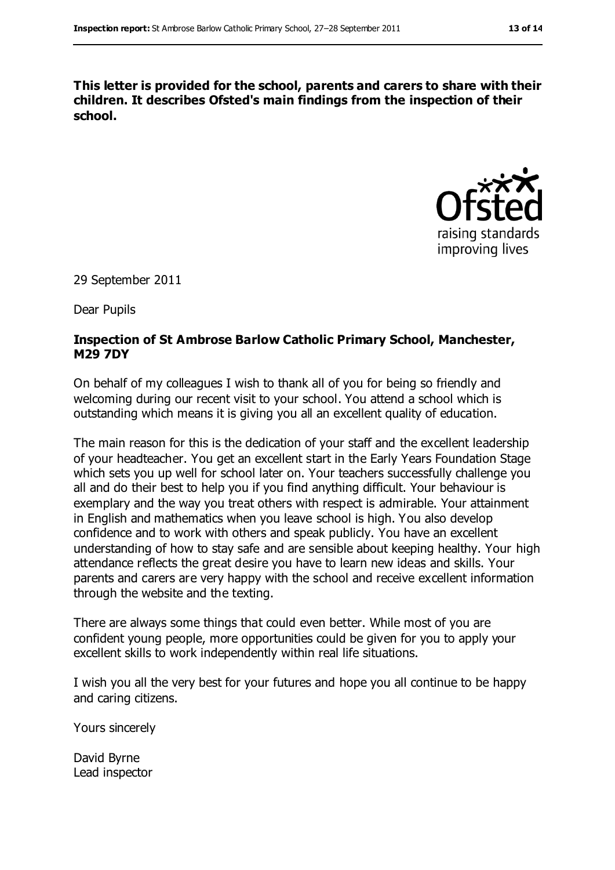**This letter is provided for the school, parents and carers to share with their children. It describes Ofsted's main findings from the inspection of their school.**



29 September 2011

Dear Pupils

#### **Inspection of St Ambrose Barlow Catholic Primary School, Manchester, M29 7DY**

On behalf of my colleagues I wish to thank all of you for being so friendly and welcoming during our recent visit to your school. You attend a school which is outstanding which means it is giving you all an excellent quality of education.

The main reason for this is the dedication of your staff and the excellent leadership of your headteacher. You get an excellent start in the Early Years Foundation Stage which sets you up well for school later on. Your teachers successfully challenge you all and do their best to help you if you find anything difficult. Your behaviour is exemplary and the way you treat others with respect is admirable. Your attainment in English and mathematics when you leave school is high. You also develop confidence and to work with others and speak publicly. You have an excellent understanding of how to stay safe and are sensible about keeping healthy. Your high attendance reflects the great desire you have to learn new ideas and skills. Your parents and carers are very happy with the school and receive excellent information through the website and the texting.

There are always some things that could even better. While most of you are confident young people, more opportunities could be given for you to apply your excellent skills to work independently within real life situations.

I wish you all the very best for your futures and hope you all continue to be happy and caring citizens.

Yours sincerely

David Byrne Lead inspector